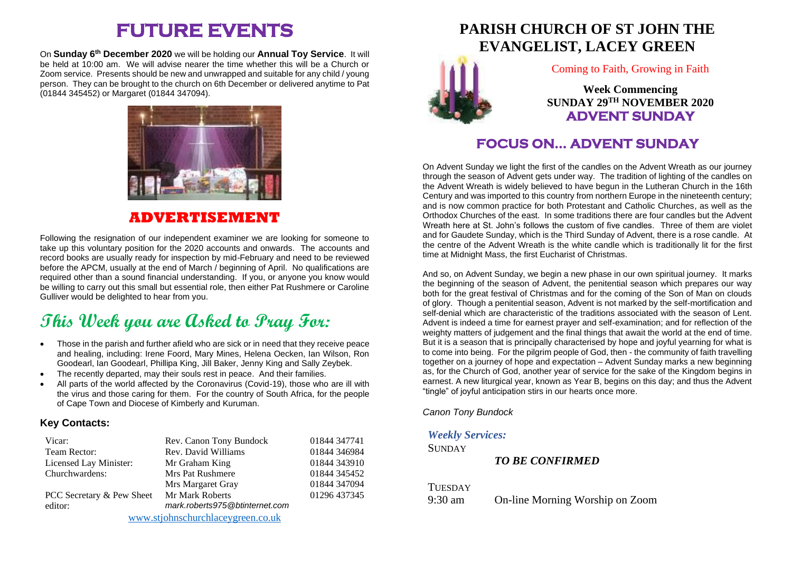# **FUTURE EVENTS**

On **Sunday 6th December 2020** we will be holding our **Annual Toy Service**. It will be held at 10:00 am. We will advise nearer the time whether this will be a Church or Zoom service. Presents should be new and unwrapped and suitable for any child / young person. They can be brought to the church on 6th December or delivered anytime to Pat (01844 345452) or Margaret (01844 347094).



### **ADVERTISEMENT**

Following the resignation of our independent examiner we are looking for someone to take up this voluntary position for the 2020 accounts and onwards. The accounts and record books are usually ready for inspection by mid-February and need to be reviewed before the APCM, usually at the end of March / beginning of April. No qualifications are required other than a sound financial understanding. If you, or anyone you know would be willing to carry out this small but essential role, then either Pat Rushmere or Caroline Gulliver would be delighted to hear from you.

# **This Week you are Asked to Pray For:**

- Those in the parish and further afield who are sick or in need that they receive peace and healing, including: Irene Foord, Mary Mines, Helena Oecken, Ian Wilson, Ron Goodearl, Ian Goodearl, Phillipa King, Jill Baker, Jenny King and Sally Zeybek.
- The recently departed, may their souls rest in peace. And their families.
- All parts of the world affected by the Coronavirus (Covid-19), those who are ill with the virus and those caring for them. For the country of South Africa, for the people of Cape Town and Diocese of Kimberly and Kuruman.

#### **Key Contacts:**

| Vicar:                            | Rev. Canon Tony Bundock        | 01844 347741 |
|-----------------------------------|--------------------------------|--------------|
| Team Rector:                      | Rev. David Williams            | 01844 346984 |
| Licensed Lay Minister:            | Mr Graham King                 | 01844 343910 |
| Churchwardens:                    | <b>Mrs Pat Rushmere</b>        | 01844 345452 |
|                                   | Mrs Margaret Gray              | 01844 347094 |
| PCC Secretary & Pew Sheet         | <b>Mr Mark Roberts</b>         | 01296 437345 |
| editor:                           | mark.roberts975@btinternet.com |              |
| www.stjohnschurchlaceygreen.co.uk |                                |              |

# **PARISH CHURCH OF ST JOHN THE [EV](http://www.google.co.uk/url?sa=i&rct=j&q=&esrc=s&source=images&cd=&cad=rja&uact=8&ved=2ahUKEwjEwpuc5vveAhXMLFAKHZWDAX8QjRx6BAgBEAU&url=http://standrewsnewmarket.org/event/advent-1/&psig=AOvVaw1ithYkhLBwWSMNeRgEgQtK&ust=1543656356823134)ANGELIST, LACEY GREEN**



Coming to Faith, Growing in Faith

**Week Commencing SUNDAY 29 TH NOVEMBER 2020 ADVENT SUNDAY** 

## **FOCUS ON… ADVENT SUNDAY**

On Advent Sunday we light the first of the candles on the Advent Wreath as our journey through the season of Advent gets under way. The tradition of lighting of the candles on the Advent Wreath is widely believed to have begun in the Lutheran Church in the 16th Century and was imported to this country from northern Europe in the nineteenth century; and is now common practice for both Protestant and Catholic Churches, as well as the Orthodox Churches of the east. In some traditions there are four candles but the Advent Wreath here at St. John's follows the custom of five candles. Three of them are violet and for Gaudete Sunday, which is the Third Sunday of Advent, there is a rose candle. At the centre of the Advent Wreath is the white candle which is traditionally lit for the first time at Midnight Mass, the first Eucharist of Christmas.

And so, on Advent Sunday, we begin a new phase in our own spiritual journey. It marks the beginning of the season of Advent, the penitential season which prepares our way both for the great festival of Christmas and for the coming of the Son of Man on clouds of glory. Though a penitential season, Advent is not marked by the self-mortification and self-denial which are characteristic of the traditions associated with the season of Lent. Advent is indeed a time for earnest prayer and self-examination; and for reflection of the weighty matters of judgement and the final things that await the world at the end of time. But it is a season that is principally characterised by hope and joyful yearning for what is to come into being. For the pilgrim people of God, then - the community of faith travelling together on a journey of hope and expectation – Advent Sunday marks a new beginning as, for the Church of God, another year of service for the sake of the Kingdom begins in earnest. A new liturgical year, known as Year B, begins on this day; and thus the Advent "tingle" of joyful anticipation stirs in our hearts once more.

*Canon Tony Bundock*

#### *Weekly Services:*

**SUNDAY** 

*TO BE CONFIRMED*

**TUESDAY** 

9:30 am On-line Morning Worship on Zoom